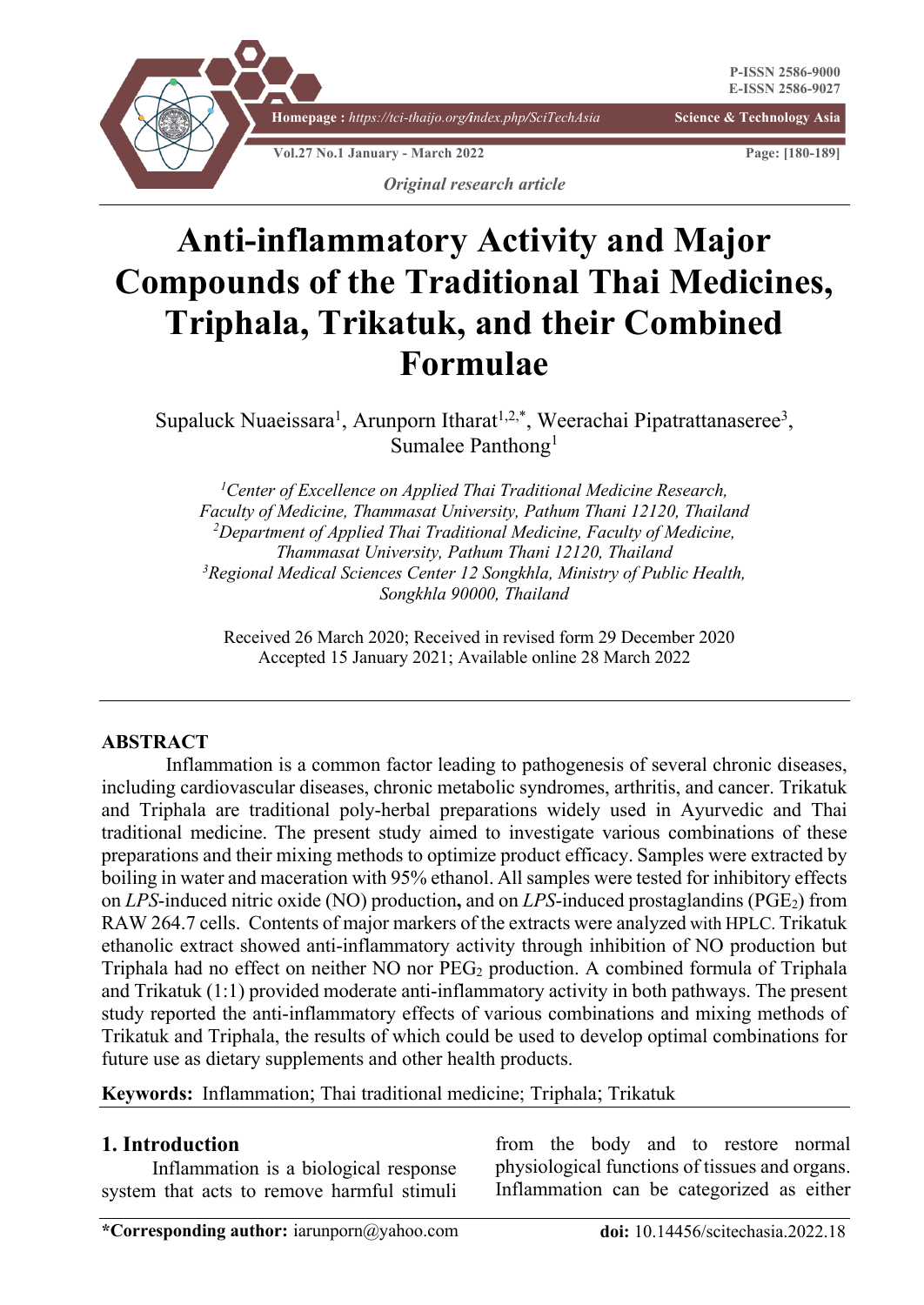

# **Anti-inflammatory Activity and Major Compounds of the Traditional Thai Medicines, Triphala, Trikatuk, and their Combined Formulae**

Supaluck Nuaeissara<sup>1</sup>, Arunporn Itharat<sup>1,2,\*</sup>, Weerachai Pipatrattanaseree<sup>3</sup>, Sumalee Panthong<sup>1</sup>

*1 Center of Excellence on Applied Thai Traditional Medicine Research, Faculty of Medicine, Thammasat University, Pathum Thani 12120, Thailand* <sup>2</sup>Department of Applied Thai Traditional Medicine, Faculty of Medicine, *Thammasat University, Pathum Thani 12120, Thailand 3 Regional Medical Sciences Center 12 Songkhla, Ministry of Public Health, Songkhla 90000, Thailand*

 Received 26 March 2020; Received in revised form 29 December 2020 Accepted 15 January 2021; Available online 28 March 2022

#### **ABSTRACT**

Inflammation is a common factor leading to pathogenesis of several chronic diseases, including cardiovascular diseases, chronic metabolic syndromes, arthritis, and cancer. Trikatuk and Triphala are traditional poly-herbal preparations widely used in Ayurvedic and Thai traditional medicine. The present study aimed to investigate various combinations of these preparations and their mixing methods to optimize product efficacy. Samples were extracted by boiling in water and maceration with 95% ethanol. All samples were tested for inhibitory effects on *LPS*-induced nitric oxide (NO) production**,** and on *LPS*-induced prostaglandins (PGE2) from RAW 264.7 cells. Contents of major markers of the extracts were analyzed with HPLC. Trikatuk ethanolic extract showed anti-inflammatory activity through inhibition of NO production but Triphala had no effect on neither  $NO$  nor  $PEG_2$  production. A combined formula of Triphala and Trikatuk (1:1) provided moderate anti-inflammatory activity in both pathways. The present study reported the anti-inflammatory effects of various combinations and mixing methods of Trikatuk and Triphala, the results of which could be used to develop optimal combinations for future use as dietary supplements and other health products.

**Keywords:** Inflammation; Thai traditional medicine; Triphala; Trikatuk

#### **1. Introduction**

Inflammation is a biological response system that acts to remove harmful stimuli from the body and to restore normal physiological functions of tissues and organs. Inflammation can be categorized as either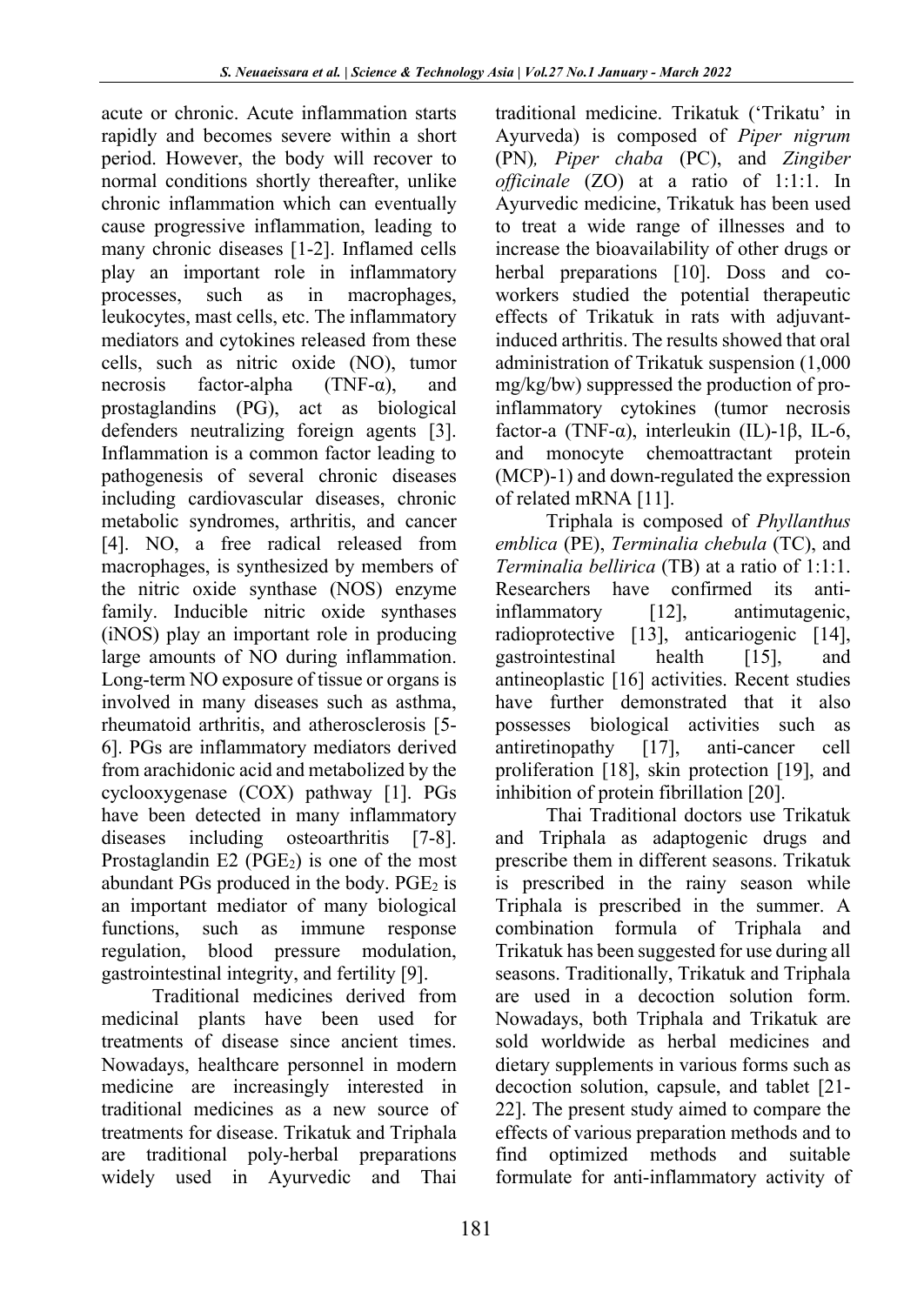acute or chronic. Acute inflammation starts rapidly and becomes severe within a short period. However, the body will recover to normal conditions shortly thereafter, unlike chronic inflammation which can eventually cause progressive inflammation, leading to many chronic diseases [1-2]. Inflamed cells play an important role in inflammatory processes, such as in macrophages, leukocytes, mast cells, etc. The inflammatory mediators and cytokines released from these cells, such as nitric oxide (NO), tumor necrosis factor-alpha (TNF- $\alpha$ ), and prostaglandins (PG), act as biological defenders neutralizing foreign agents [3]. Inflammation is a common factor leading to pathogenesis of several chronic diseases including cardiovascular diseases, chronic metabolic syndromes, arthritis, and cancer [4]. NO, a free radical released from macrophages, is synthesized by members of the nitric oxide synthase (NOS) enzyme family. Inducible nitric oxide synthases (iNOS) play an important role in producing large amounts of NO during inflammation. Long-term NO exposure of tissue or organs is involved in many diseases such as asthma, rheumatoid arthritis, and atherosclerosis [5- 6]. PGs are inflammatory mediators derived from arachidonic acid and metabolized by the cyclooxygenase (COX) pathway [1]. PGs have been detected in many inflammatory diseases including osteoarthritis [7-8]. Prostaglandin  $E2$  (PGE<sub>2</sub>) is one of the most abundant PGs produced in the body.  $PGE<sub>2</sub>$  is an important mediator of many biological functions, such as immune response regulation, blood pressure modulation, gastrointestinal integrity, and fertility [9].

Traditional medicines derived from medicinal plants have been used for treatments of disease since ancient times. Nowadays, healthcare personnel in modern medicine are increasingly interested in traditional medicines as a new source of treatments for disease. Trikatuk and Triphala are traditional poly-herbal preparations widely used in Ayurvedic and Thai traditional medicine. Trikatuk ('Trikatu' in Ayurveda) is composed of *Piper nigrum*  (PN)*, Piper chaba* (PC), and *Zingiber officinale* (ZO) at a ratio of 1:1:1. In Ayurvedic medicine, Trikatuk has been used to treat a wide range of illnesses and to increase the bioavailability of other drugs or herbal preparations [10]. Doss and coworkers studied the potential therapeutic effects of Trikatuk in rats with adjuvantinduced arthritis. The results showed that oral administration of Trikatuk suspension (1,000 mg/kg/bw) suppressed the production of proinflammatory cytokines (tumor necrosis factor-a (TNF-α), interleukin (IL)-1β, IL-6, and monocyte chemoattractant protein (MCP)-1) and down-regulated the expression of related mRNA [11].

Triphala is composed of *Phyllanthus emblica* (PE), *Terminalia chebula* (TC), and *Terminalia bellirica* (TB) at a ratio of 1:1:1. Researchers have confirmed its antiinflammatory [12], antimutagenic, radioprotective [13], anticariogenic [14], gastrointestinal health [15], and antineoplastic [16] activities. Recent studies have further demonstrated that it also possesses biological activities such as antiretinopathy [17], anti-cancer cell proliferation [18], skin protection [19], and inhibition of protein fibrillation [20].

Thai Traditional doctors use Trikatuk and Triphala as adaptogenic drugs and prescribe them in different seasons. Trikatuk is prescribed in the rainy season while Triphala is prescribed in the summer. A combination formula of Triphala and Trikatuk has been suggested for use during all seasons. Traditionally, Trikatuk and Triphala are used in a decoction solution form. Nowadays, both Triphala and Trikatuk are sold worldwide as herbal medicines and dietary supplements in various forms such as decoction solution, capsule, and tablet [21- 22]. The present study aimed to compare the effects of various preparation methods and to find optimized methods and suitable formulate for anti-inflammatory activity of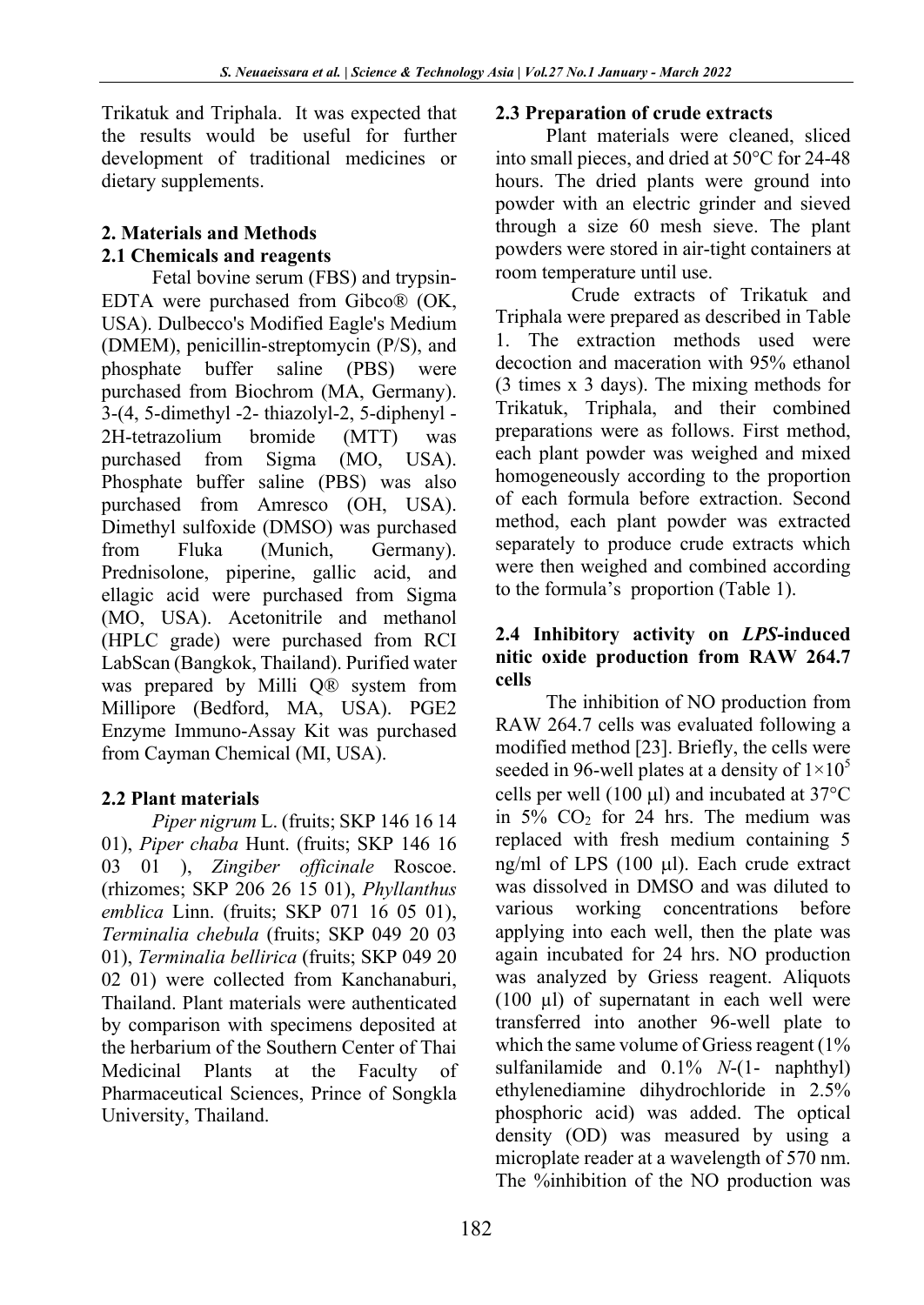Trikatuk and Triphala. It was expected that the results would be useful for further development of traditional medicines or dietary supplements.

## **2. Materials and Methods 2.1 Chemicals and reagents**

Fetal bovine serum (FBS) and trypsin-EDTA were purchased from Gibco® (OK, USA). Dulbecco's Modified Eagle's Medium (DMEM), penicillin-streptomycin (P/S), and phosphate buffer saline (PBS) were purchased from Biochrom (MA, Germany). 3-(4, 5-dimethyl -2- thiazolyl-2, 5-diphenyl - 2H-tetrazolium bromide (MTT) was purchased from Sigma (MO, USA). Phosphate buffer saline (PBS) was also purchased from Amresco (OH, USA). Dimethyl sulfoxide (DMSO) was purchased from Fluka (Munich, Germany). Prednisolone, piperine, gallic acid, and ellagic acid were purchased from Sigma (MO, USA). Acetonitrile and methanol (HPLC grade) were purchased from RCI LabScan (Bangkok, Thailand). Purified water was prepared by Milli Q® system from Millipore (Bedford, MA, USA). PGE2 Enzyme Immuno-Assay Kit was purchased from Cayman Chemical (MI, USA).

# **2.2 Plant materials**

*Piper nigrum* L. (fruits; SKP 146 16 14 01), *Piper chaba* Hunt. (fruits; SKP 146 16 03 01 ), *Zingiber officinale* Roscoe. (rhizomes; SKP 206 26 15 01), *Phyllanthus emblica* Linn. (fruits; SKP 071 16 05 01), *Terminalia chebula* (fruits; SKP 049 20 03 01), *Terminalia bellirica* (fruits; SKP 049 20 02 01) were collected from Kanchanaburi, Thailand. Plant materials were authenticated by comparison with specimens deposited at the herbarium of the Southern Center of Thai Medicinal Plants at the Faculty of Pharmaceutical Sciences, Prince of Songkla University, Thailand.

## **2.3 Preparation of crude extracts**

Plant materials were cleaned, sliced into small pieces, and dried at 50°C for 24-48 hours. The dried plants were ground into powder with an electric grinder and sieved through a size 60 mesh sieve. The plant powders were stored in air-tight containers at room temperature until use.

Crude extracts of Trikatuk and Triphala were prepared as described in Table 1. The extraction methods used were decoction and maceration with 95% ethanol (3 times x 3 days). The mixing methods for Trikatuk, Triphala, and their combined preparations were as follows. First method, each plant powder was weighed and mixed homogeneously according to the proportion of each formula before extraction. Second method, each plant powder was extracted separately to produce crude extracts which were then weighed and combined according to the formula's proportion (Table 1).

## **2.4 Inhibitory activity on** *LPS***-induced nitic oxide production from RAW 264.7 cells**

The inhibition of NO production from RAW 264.7 cells was evaluated following a modified method [23]. Briefly, the cells were seeded in 96-well plates at a density of  $1\times10^5$ cells per well (100  $\mu$ l) and incubated at 37 $\rm{°C}$ in  $5\%$  CO<sub>2</sub> for 24 hrs. The medium was replaced with fresh medium containing 5 ng/ml of LPS (100 µl). Each crude extract was dissolved in DMSO and was diluted to various working concentrations before applying into each well, then the plate was again incubated for 24 hrs. NO production was analyzed by Griess reagent. Aliquots (100 µl) of supernatant in each well were transferred into another 96-well plate to which the same volume of Griess reagent (1%) sulfanilamide and 0.1% *N*-(1- naphthyl) ethylenediamine dihydrochloride in 2.5% phosphoric acid) was added. The optical density (OD) was measured by using a microplate reader at a wavelength of 570 nm. The %inhibition of the NO production was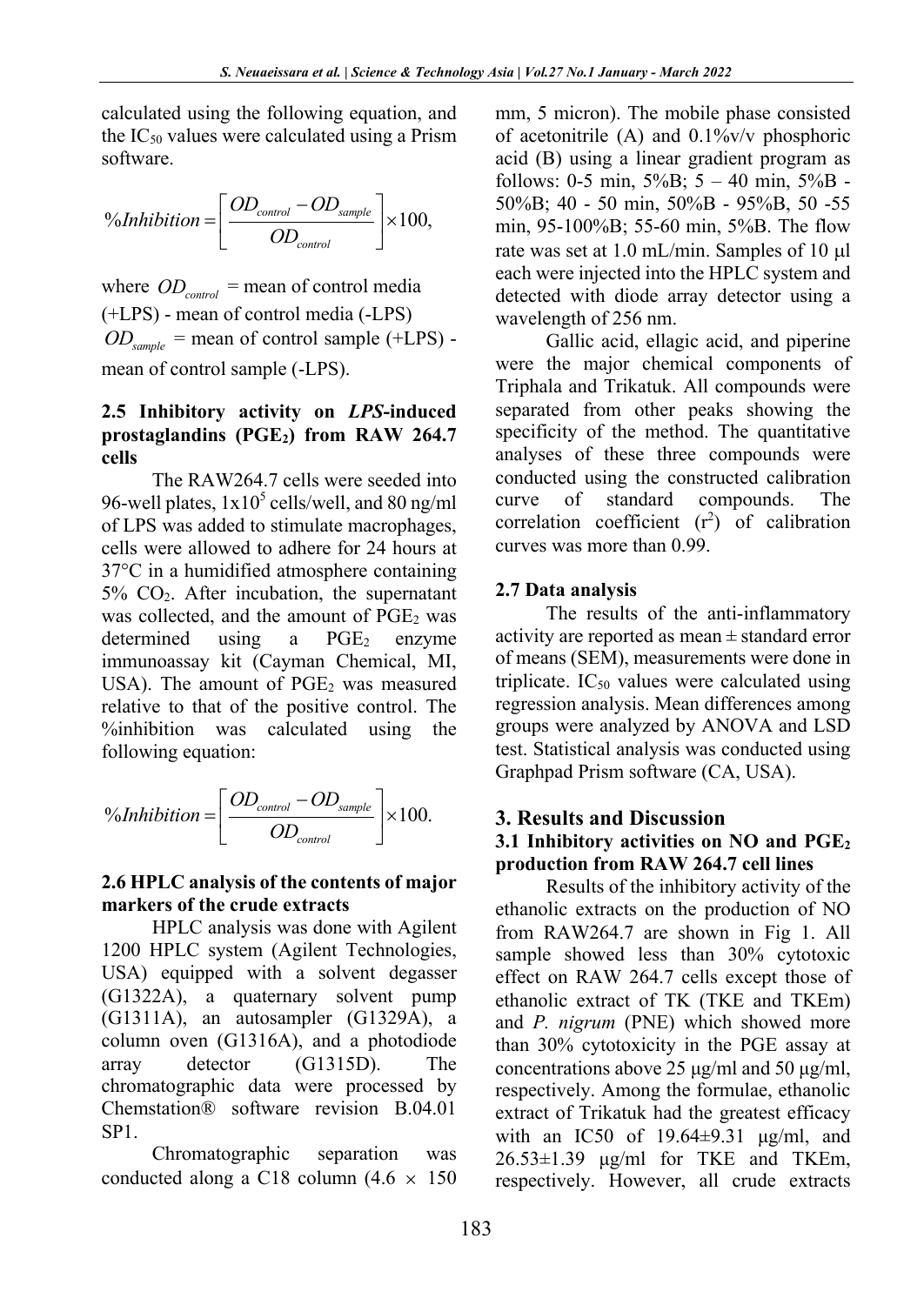calculated using the following equation, and the  $IC_{50}$  values were calculated using a Prism software.

$$
\% Inhibition = \left[ \frac{OD_{control} - OD_{sample}}{OD_{control}} \right] \times 100,
$$

where  $OD_{control}$  = mean of control media (+LPS) - mean of control media (-LPS)  $OD_{\text{sample}}$  = mean of control sample (+LPS) mean of control sample (-LPS).

#### **2.5 Inhibitory activity on** *LPS***-induced prostaglandins (PGE2) from RAW 264.7 cells**

The RAW264.7 cells were seeded into 96-well plates,  $1x10^5$  cells/well, and 80 ng/ml of LPS was added to stimulate macrophages, cells were allowed to adhere for 24 hours at 37°C in a humidified atmosphere containing 5% CO2. After incubation, the supernatant was collected, and the amount of  $PGE<sub>2</sub>$  was determined using a  $PGE<sub>2</sub>$  enzyme immunoassay kit (Cayman Chemical, MI, USA). The amount of  $PGE<sub>2</sub>$  was measured relative to that of the positive control. The %inhibition was calculated using the following equation:

<sup>9</sup> *Shhibition* = 
$$
\left[ \frac{OD_{control} - OD_{sample}}{OD_{control}} \right] \times 100.
$$

### **2.6 HPLC analysis of the contents of major markers of the crude extracts**

HPLC analysis was done with Agilent 1200 HPLC system (Agilent Technologies, USA) equipped with a solvent degasser (G1322A), a quaternary solvent pump (G1311A), an autosampler (G1329A), a column oven (G1316A), and a photodiode array detector (G1315D). The chromatographic data were processed by Chemstation® software revision B.04.01 SP1.

Chromatographic separation was conducted along a C18 column  $(4.6 \times 150)$  mm, 5 micron). The mobile phase consisted of acetonitrile (A) and 0.1%v/v phosphoric acid (B) using a linear gradient program as follows: 0-5 min,  $5\%B$ ; 5 – 40 min,  $5\%B$  -50%B; 40 - 50 min, 50%B - 95%B, 50 -55 min, 95-100%B; 55-60 min, 5%B. The flow rate was set at 1.0 mL/min. Samples of 10 µl each were injected into the HPLC system and detected with diode array detector using a wavelength of 256 nm.

Gallic acid, ellagic acid, and piperine were the major chemical components of Triphala and Trikatuk. All compounds were separated from other peaks showing the specificity of the method. The quantitative analyses of these three compounds were conducted using the constructed calibration curve of standard compounds. The correlation coefficient  $(r^2)$  of calibration curves was more than 0.99.

#### **2.7 Data analysis**

The results of the anti-inflammatory activity are reported as mean ± standard error of means (SEM), measurements were done in triplicate.  $IC_{50}$  values were calculated using regression analysis. Mean differences among groups were analyzed by ANOVA and LSD test. Statistical analysis was conducted using Graphpad Prism software (CA, USA).

#### **3. Results and Discussion**

#### **3.1 Inhibitory activities on NO and PGE2 production from RAW 264.7 cell lines**

Results of the inhibitory activity of the ethanolic extracts on the production of NO from RAW264.7 are shown in Fig 1. All sample showed less than 30% cytotoxic effect on RAW 264.7 cells except those of ethanolic extract of TK (TKE and TKEm) and *P. nigrum* (PNE) which showed more than 30% cytotoxicity in the PGE assay at concentrations above 25 μg/ml and 50 μg/ml, respectively. Among the formulae, ethanolic extract of Trikatuk had the greatest efficacy with an IC50 of  $19.64\pm9.31$   $\mu$ g/ml, and  $26.53\pm1.39$   $\mu$ g/ml for TKE and TKEm, respectively. However, all crude extracts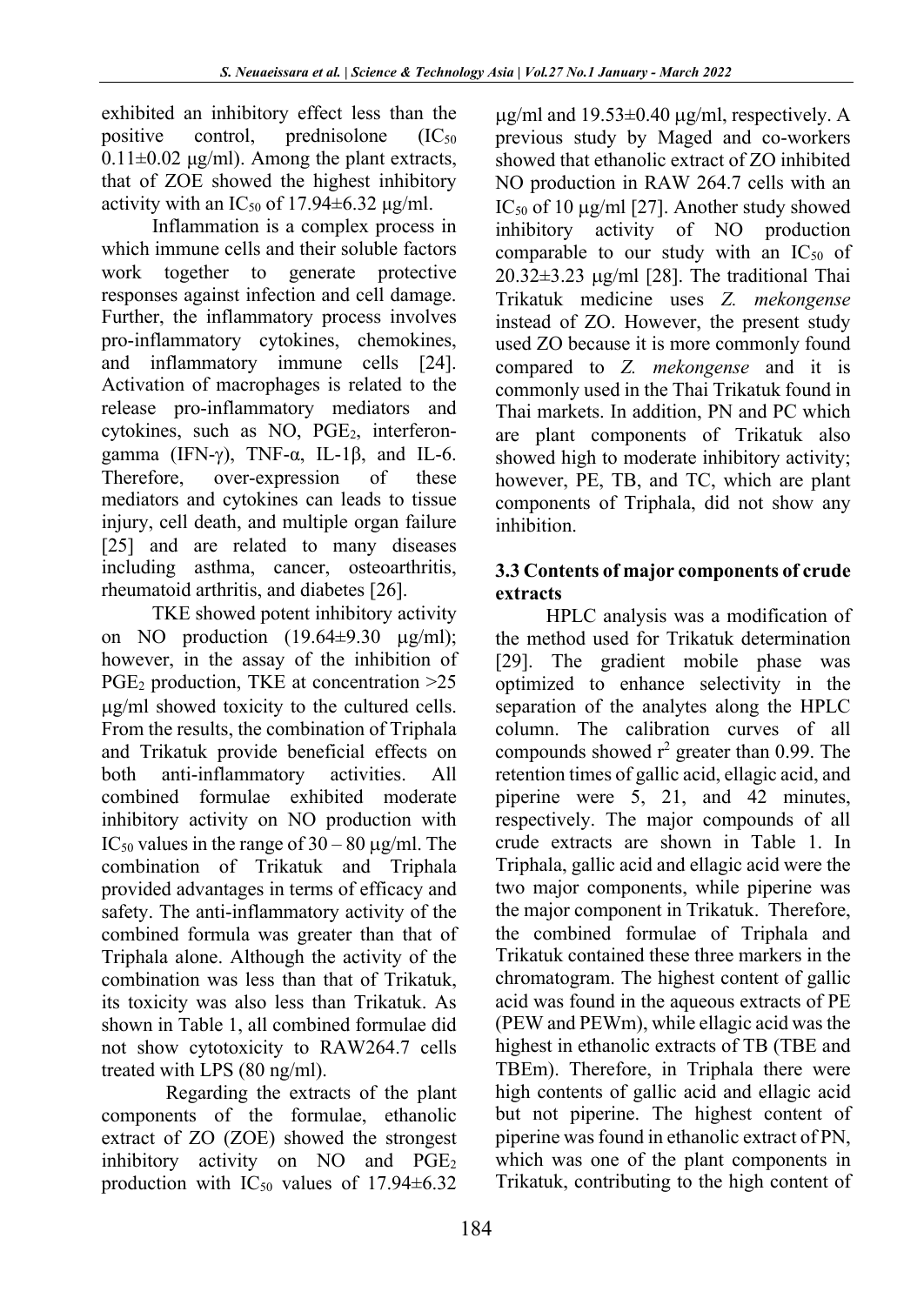exhibited an inhibitory effect less than the positive control, prednisolone  $(IC_{50}$  $0.11\pm0.02$  μg/ml). Among the plant extracts, that of ZOE showed the highest inhibitory activity with an  $IC_{50}$  of 17.94 $\pm$ 6.32  $\mu$ g/ml.

Inflammation is a complex process in which immune cells and their soluble factors work together to generate protective responses against infection and cell damage. Further, the inflammatory process involves pro-inflammatory cytokines, chemokines, and inflammatory immune cells [24]. Activation of macrophages is related to the release pro-inflammatory mediators and cytokines, such as NO, PGE<sub>2</sub>, interferongamma (IFN- $\gamma$ ), TNF- $\alpha$ , IL-1 $\beta$ , and IL-6. Therefore, over-expression of these mediators and cytokines can leads to tissue injury, cell death, and multiple organ failure [25] and are related to many diseases including asthma, cancer, osteoarthritis, rheumatoid arthritis, and diabetes [26].

TKE showed potent inhibitory activity on NO production  $(19.64\pm9.30 \text{ µg/ml});$ however, in the assay of the inhibition of PGE<sub>2</sub> production, TKE at concentration > 25 µg/ml showed toxicity to the cultured cells. From the results, the combination of Triphala and Trikatuk provide beneficial effects on both anti-inflammatory activities. All combined formulae exhibited moderate inhibitory activity on NO production with IC<sub>50</sub> values in the range of  $30 - 80 \mu g/ml$ . The combination of Trikatuk and Triphala provided advantages in terms of efficacy and safety. The anti-inflammatory activity of the combined formula was greater than that of Triphala alone. Although the activity of the combination was less than that of Trikatuk, its toxicity was also less than Trikatuk. As shown in Table 1, all combined formulae did not show cytotoxicity to RAW264.7 cells treated with LPS (80 ng/ml).

Regarding the extracts of the plant components of the formulae, ethanolic extract of ZO (ZOE) showed the strongest inhibitory activity on NO and PGE<sub>2</sub> production with  $IC_{50}$  values of 17.94 $\pm$ 6.32  $\mu$ g/ml and 19.53 $\pm$ 0.40  $\mu$ g/ml, respectively. A previous study by Maged and co-workers showed that ethanolic extract of ZO inhibited NO production in RAW 264.7 cells with an IC<sub>50</sub> of 10  $\mu$ g/ml [27]. Another study showed inhibitory activity of NO production comparable to our study with an  $IC_{50}$  of 20.32±3.23 µg/ml [28]. The traditional Thai Trikatuk medicine uses *Z. mekongense* instead of ZO. However, the present study used ZO because it is more commonly found compared to *Z. mekongense* and it is commonly used in the Thai Trikatuk found in Thai markets. In addition, PN and PC which are plant components of Trikatuk also showed high to moderate inhibitory activity; however, PE, TB, and TC, which are plant components of Triphala, did not show any inhibition.

## **3.3 Contents of major components of crude extracts**

HPLC analysis was a modification of the method used for Trikatuk determination [29]. The gradient mobile phase was optimized to enhance selectivity in the separation of the analytes along the HPLC column. The calibration curves of all compounds showed  $r^2$  greater than 0.99. The retention times of gallic acid, ellagic acid, and piperine were 5, 21, and 42 minutes, respectively. The major compounds of all crude extracts are shown in Table 1. In Triphala, gallic acid and ellagic acid were the two major components, while piperine was the major component in Trikatuk. Therefore, the combined formulae of Triphala and Trikatuk contained these three markers in the chromatogram. The highest content of gallic acid was found in the aqueous extracts of PE (PEW and PEWm), while ellagic acid was the highest in ethanolic extracts of TB (TBE and TBEm). Therefore, in Triphala there were high contents of gallic acid and ellagic acid but not piperine. The highest content of piperine was found in ethanolic extract of PN, which was one of the plant components in Trikatuk, contributing to the high content of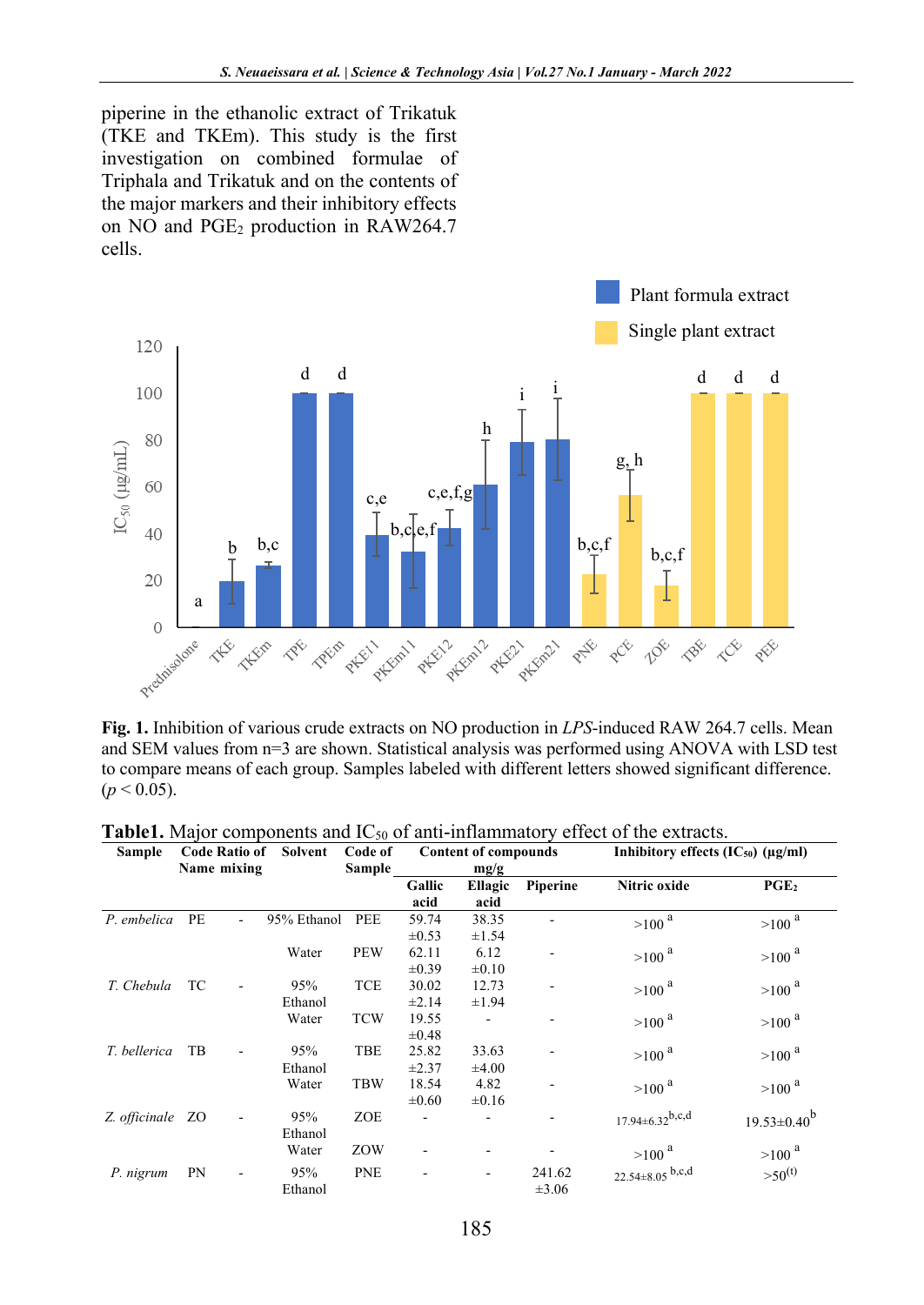piperine in the ethanolic extract of Trikatuk (TKE and TKEm). This study is the first investigation on combined formulae of Triphala and Trikatuk and on the contents of the major markers and their inhibitory effects on NO and PGE<sub>2</sub> production in RAW264.7 cells.



**Fig. 1.** Inhibition of various crude extracts on NO production in *LPS*-induced RAW 264.7 cells. Mean and SEM values from n=3 are shown. Statistical analysis was performed using ANOVA with LSD test to compare means of each group. Samples labeled with different letters showed significant difference.  $(p < 0.05)$ .

| <b>Sample</b>    | <b>Code Ratio of</b><br>Name mixing | Solvent        | Code of<br>Sample |                     | <b>Content of compounds</b><br>mg/g |                      | Inhibitory effects $(IC_{50})$ $(\mu g/ml)$ |                    |
|------------------|-------------------------------------|----------------|-------------------|---------------------|-------------------------------------|----------------------|---------------------------------------------|--------------------|
|                  |                                     |                |                   | Gallic<br>acid      | Ellagic<br>acid                     | Piperine             | Nitric oxide                                | PGE <sub>2</sub>   |
| P. embelica      | PE                                  | 95% Ethanol    | PEE               | 59.74<br>$\pm 0.53$ | 38.35<br>$\pm 1.54$                 |                      | $>100$ $^{\rm a}$                           | $>100$ a           |
|                  |                                     | Water          | <b>PEW</b>        | 62.11<br>$\pm 0.39$ | 6.12<br>$\pm 0.10$                  |                      | $>100$ a                                    | $>100$ $^{\rm a}$  |
| T. Chebula       | TC                                  | 95%<br>Ethanol | <b>TCE</b>        | 30.02<br>$\pm 2.14$ | 12.73<br>$\pm 1.94$                 |                      | $>100$ <sup>a</sup>                         | $>100$ a           |
|                  |                                     | Water          | <b>TCW</b>        | 19.55<br>$\pm 0.48$ |                                     |                      | $>100$ <sup>a</sup>                         | $>100$ $^{\rm a}$  |
| T. bellerica     | TB                                  | 95%<br>Ethanol | <b>TBE</b>        | 25.82<br>$\pm 2.37$ | 33.63<br>$\pm 4.00$                 |                      | $>100$ <sup>a</sup>                         | $>100$ $^{\rm a}$  |
|                  |                                     | Water          | <b>TBW</b>        | 18.54<br>$\pm 0.60$ | 4.82<br>$\pm 0.16$                  |                      | $>100$ <sup>a</sup>                         | $>100$ $^{\rm a}$  |
| Z. officinale ZO |                                     | 95%<br>Ethanol | ZOE               |                     |                                     |                      | $17.94 \pm 6.32^{b,c,d}$                    | $19.53 \pm 0.40^b$ |
|                  |                                     | Water          | ZOW               |                     |                                     |                      | $>100$ <sup>a</sup>                         | $>100$ $^{\rm a}$  |
| P. nigrum        | PN<br>$\overline{\phantom{a}}$      | 95%<br>Ethanol | <b>PNE</b>        |                     | $\overline{\phantom{0}}$            | 241.62<br>$\pm 3.06$ | 22.54 $\pm$ 8.05 b,c,d                      | $>50^{(t)}$        |

**Table1.** Major components and  $IC_{50}$  of anti-inflammatory effect of the extracts.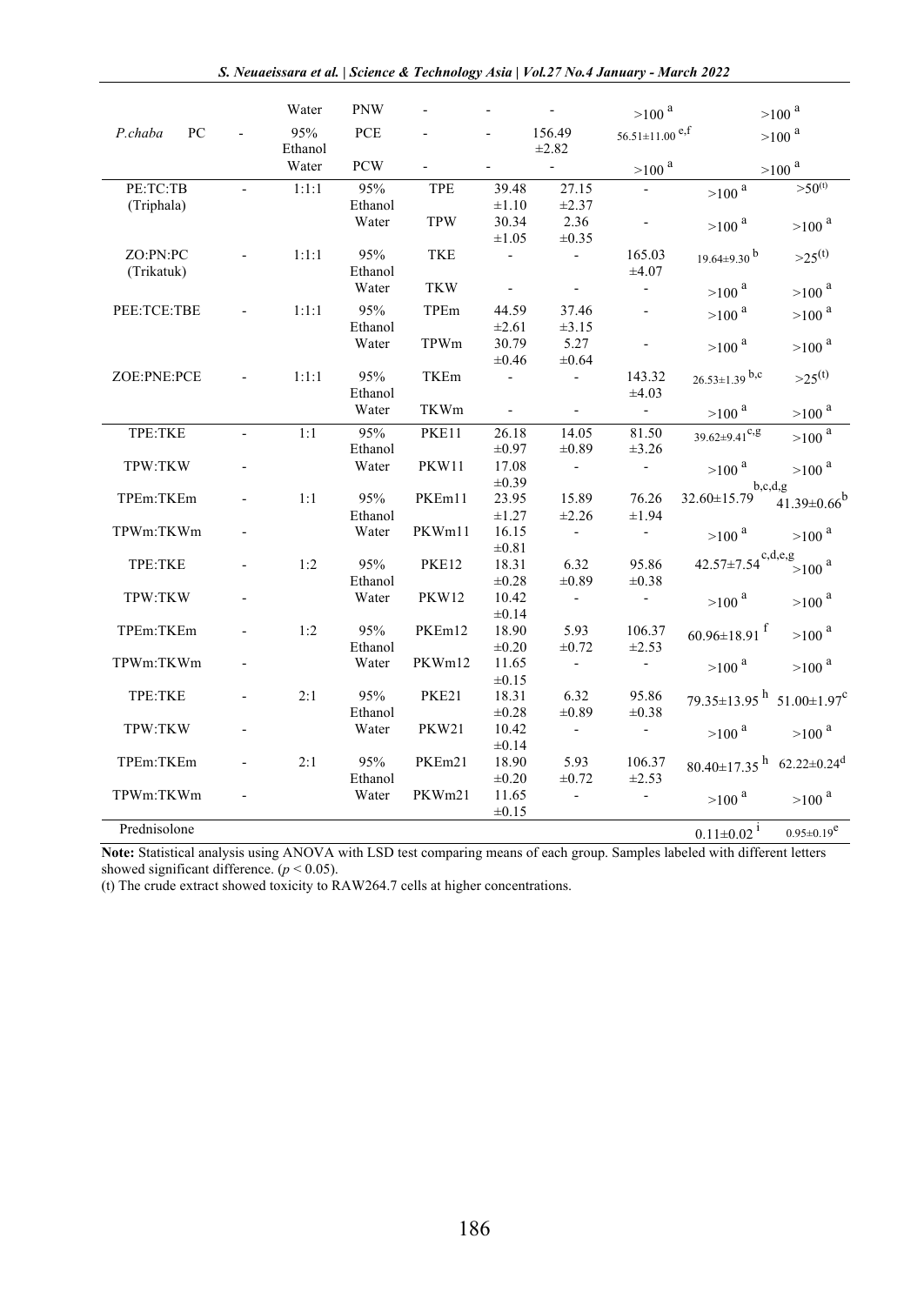|               |                          | Water          | <b>PNW</b>       |              |                          | $\sim 100$           | $>100$ $^{\rm a}$                |                                                              | $>100$ $^{\rm a}$   |
|---------------|--------------------------|----------------|------------------|--------------|--------------------------|----------------------|----------------------------------|--------------------------------------------------------------|---------------------|
| P.chaba<br>PC |                          | 95%<br>Ethanol | PCE              |              |                          | 156.49<br>$\pm 2.82$ | $56.51 \pm 11.00$ <sup>e,f</sup> |                                                              | $>100$ a            |
|               |                          | Water          | <b>PCW</b>       |              | $\overline{\phantom{a}}$ | $\sim$               | $>100$ $^{\rm a}$                |                                                              | $>100$ $^{\rm a}$   |
| PE:TC:TB      | $\overline{\phantom{a}}$ | 1:1:1          | 95%              | TPE          | 39.48                    | 27.15                |                                  | $>100^{a}$                                                   | $>50^{(t)}$         |
| (Triphala)    |                          |                | Ethanol          |              | $\pm 1.10$               | $\pm 2.37$           |                                  |                                                              |                     |
|               |                          |                | Water            | <b>TPW</b>   | 30.34                    | 2.36                 |                                  | $>100$ $^{\rm a}$                                            | $>100$ $^{\rm a}$   |
|               |                          |                |                  |              | $\pm 1.05$               | $\pm 0.35$           |                                  |                                                              |                     |
| ZO:PN:PC      |                          | 1:1:1          | 95%              | <b>TKE</b>   | $\sim$                   | $\sim$               | 165.03                           | $19.64 \pm 9.30$ <sup>b</sup>                                | $>25^{(t)}$         |
| (Trikatuk)    |                          |                | Ethanol          |              |                          |                      | $\pm 4.07$                       |                                                              |                     |
|               |                          |                | Water            | <b>TKW</b>   | $\Box$                   | $\blacksquare$       | $\mathcal{L}_{\mathcal{A}}$      | $>100$ <sup>a</sup>                                          | $>100$ a            |
| PEE:TCE:TBE   |                          | 1:1:1          | 95%              | TPEm         | 44.59                    | 37.46                | $\mathcal{L}$                    | $>100$ a                                                     | $>100$ a            |
|               |                          |                | Ethanol          |              | $\pm 2.61$               | $\pm 3.15$           |                                  |                                                              |                     |
|               |                          |                | Water            | TPWm         | 30.79                    | 5.27                 | $\blacksquare$                   | $>100$ $^{\rm a}$                                            | $>100$ $^{\rm a}$   |
|               |                          |                |                  |              | $\pm 0.46$               | $\pm 0.64$           |                                  |                                                              |                     |
| ZOE:PNE:PCE   |                          | 1:1:1          | 95%              | TKEm         | $\blacksquare$           | $\sim$               | 143.32                           | $26.53 \pm 1.39$ b,c                                         | $>25^{(t)}$         |
|               |                          |                | Ethanol          |              |                          |                      | $\pm 4.03$                       |                                                              |                     |
|               |                          |                | Water            | TKWm         | $\omega_{\rm{max}}$      | $\omega_{\rm c}$     | $\sim 10^{-11}$                  | $>100$ $^{\rm a}$                                            | $>100$ $^{\rm a}$   |
| TPE:TKE       | $\overline{a}$           | 1:1            | 95%              | PKE11        | 26.18                    | 14.05                | 81.50                            | $39.62 \pm 9.41$ <sup>c,g</sup>                              | $>100$ $^{\rm a}$   |
|               |                          |                | Ethanol          |              | $\pm 0.97$               | $\pm 0.89$           | $\pm 3.26$                       |                                                              |                     |
| TPW:TKW       |                          |                | Water            | PKW11        | 17.08                    | $\sim$               | $\sim 10^{-11}$                  | $>100$ $^{\rm a}$                                            | $>100$ $^{\rm a}$   |
|               |                          |                |                  |              | $\pm 0.39$               |                      |                                  |                                                              | b,c,d,g             |
| TPEm:TKEm     |                          | 1:1            | 95%              | PKEm11       | 23.95                    | 15.89                | 76.26                            | 32.60±15.79                                                  | $41.39 \pm 0.66^b$  |
|               |                          |                | Ethanol          |              | $\pm 1.27$               | $\pm 2.26$           | $\pm 1.94$                       |                                                              |                     |
| TPWm:TKWm     |                          |                | Water            | PKWm11       | 16.15                    | $\sim$               | $\sim$                           | $>100$ $^{\rm a}$                                            | $>100$ $^{\rm a}$   |
|               |                          |                |                  |              | $\pm 0.81$               |                      |                                  |                                                              |                     |
| TPE:TKE       |                          | 1:2            | 95%              | <b>PKE12</b> | 18.31                    | 6.32                 | 95.86                            | $42.57 \pm 7.54$ <sup>c,d,e,g</sup>                          | $>100$ <sup>a</sup> |
|               |                          |                | Ethanol          |              | $\pm 0.28$               | $\pm 0.89$           | $\pm 0.38$                       |                                                              |                     |
| TPW:TKW       |                          |                | Water            | <b>PKW12</b> | 10.42                    | $\omega$             | $\sim$ $-$                       | $>100$ $^{\rm a}$                                            | $>100$ <sup>a</sup> |
|               |                          |                |                  |              | $\pm 0.14$               |                      |                                  |                                                              |                     |
| TPEm:TKEm     |                          | 1:2            | 95%              | PKEm12       | 18.90                    | 5.93                 | 106.37                           | 60.96±18.91 $^{\rm f}$                                       | $>100$ $^{\rm a}$   |
|               |                          |                | Ethanol          |              | $\pm 0.20$               | $\pm 0.72$           | $\pm 2.53$                       |                                                              |                     |
| TPWm:TKWm     |                          |                | Water            | PKWm12       | 11.65                    | $\sim$               | $\sim$                           | $>100$ $^{\rm a}$                                            | $>100$ $^{\rm a}$   |
|               |                          |                |                  |              | $\pm 0.15$               |                      |                                  |                                                              |                     |
| TPE:TKE       |                          | 2:1            | 95%              | <b>PKE21</b> | 18.31                    | 6.32<br>$\pm 0.89$   | 95.86<br>$\pm 0.38$              | $79.35 \pm 13.95$ <sup>h</sup> $51.00 \pm 1.97$ <sup>c</sup> |                     |
| TPW:TKW       |                          |                | Ethanol<br>Water | <b>PKW21</b> | $\pm 0.28$<br>10.42      | $\sim 10^{-1}$       |                                  |                                                              |                     |
|               |                          |                |                  |              | $\pm 0.14$               |                      | $\sim 10^{-11}$                  | $>100$ $^{\rm a}$                                            | $>100^{a}$          |
| TPEm:TKEm     |                          | 2:1            | 95%              | PKEm21       | 18.90                    | 5.93                 | 106.37                           | 80.40±17.35 $^{\rm h}$ 62.22±0.24 <sup>d</sup>               |                     |
|               |                          |                | Ethanol          |              | $\pm 0.20$               | $\pm 0.72$           | $\pm 2.53$                       |                                                              |                     |
| TPWm:TKWm     |                          |                | Water            | PKWm21       | 11.65                    | $\sim$               | $\sim$                           | $>$ 100 $^{\rm a}$                                           |                     |
|               |                          |                |                  |              | $\pm 0.15$               |                      |                                  |                                                              | $>100$ $^{\rm a}$   |
| Prednisolone  |                          |                |                  |              |                          |                      |                                  | $0.11 \pm 0.02$ <sup>i</sup>                                 | $0.95 \pm 0.19^e$   |
|               |                          |                |                  |              |                          |                      |                                  |                                                              |                     |

**Note:** Statistical analysis using ANOVA with LSD test comparing means of each group. Samples labeled with different letters showed significant difference.  $(p < 0.05)$ .

(t) The crude extract showed toxicity to RAW264.7 cells at higher concentrations.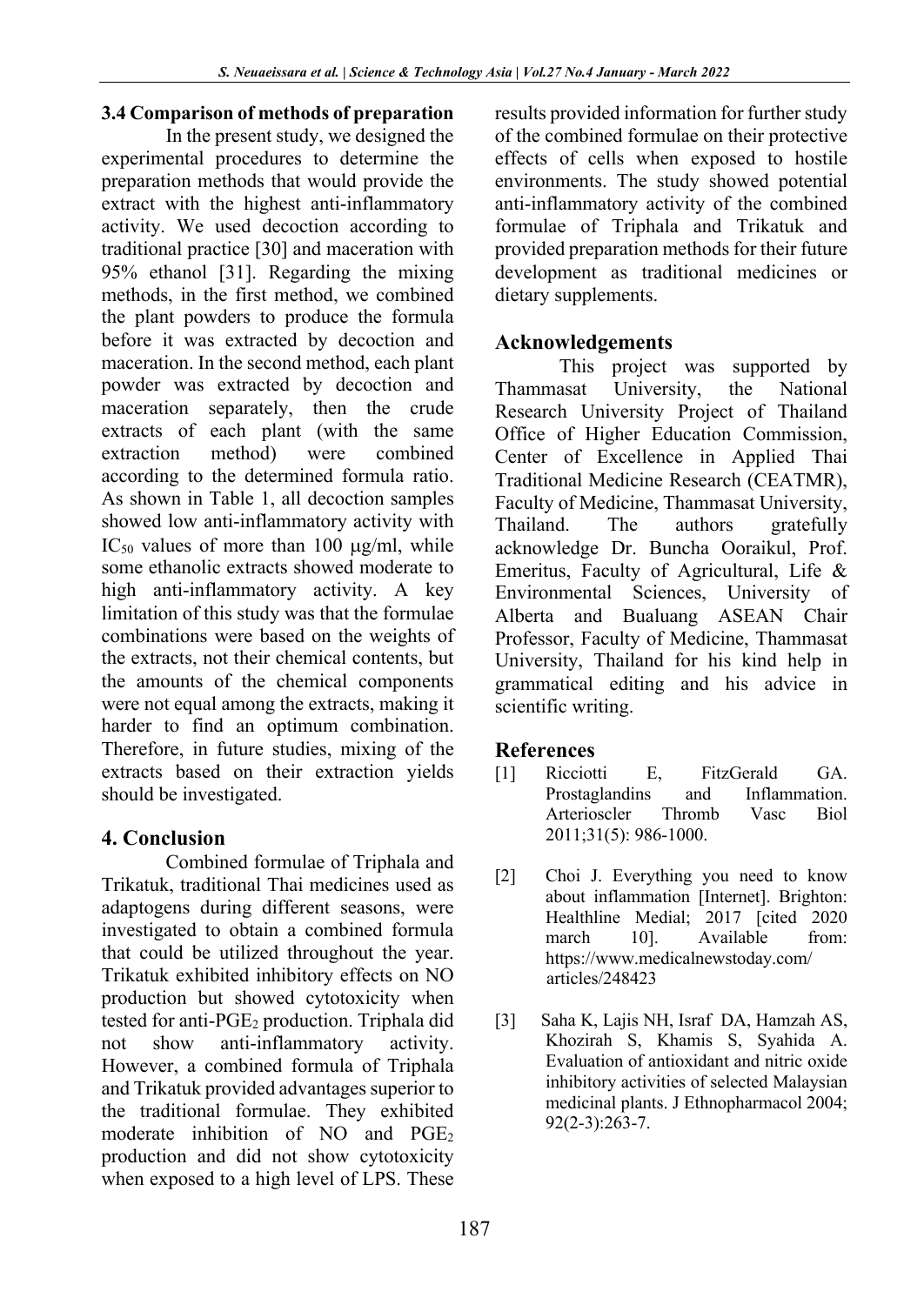## **3.4 Comparison of methods of preparation**

In the present study, we designed the experimental procedures to determine the preparation methods that would provide the extract with the highest anti-inflammatory activity. We used decoction according to traditional practice [30] and maceration with 95% ethanol [31]. Regarding the mixing methods, in the first method, we combined the plant powders to produce the formula before it was extracted by decoction and maceration. In the second method, each plant powder was extracted by decoction and maceration separately, then the crude extracts of each plant (with the same extraction method) were combined according to the determined formula ratio. As shown in Table 1, all decoction samples showed low anti-inflammatory activity with IC<sub>50</sub> values of more than 100  $\mu$ g/ml, while some ethanolic extracts showed moderate to high anti-inflammatory activity. A key limitation of this study was that the formulae combinations were based on the weights of the extracts, not their chemical contents, but the amounts of the chemical components were not equal among the extracts, making it harder to find an optimum combination. Therefore, in future studies, mixing of the extracts based on their extraction yields should be investigated.

## **4. Conclusion**

Combined formulae of Triphala and Trikatuk, traditional Thai medicines used as adaptogens during different seasons, were investigated to obtain a combined formula that could be utilized throughout the year. Trikatuk exhibited inhibitory effects on NO production but showed cytotoxicity when tested for anti- $PGE<sub>2</sub>$  production. Triphala did not show anti-inflammatory activity. However, a combined formula of Triphala and Trikatuk provided advantages superior to the traditional formulae. They exhibited moderate inhibition of NO and  $PGE_2$ production and did not show cytotoxicity when exposed to a high level of LPS. These results provided information for further study of the combined formulae on their protective effects of cells when exposed to hostile environments. The study showed potential anti-inflammatory activity of the combined formulae of Triphala and Trikatuk and provided preparation methods for their future development as traditional medicines or dietary supplements.

## **Acknowledgements**

This project was supported by Thammasat University, the National Research University Project of Thailand Office of Higher Education Commission, Center of Excellence in Applied Thai Traditional Medicine Research (CEATMR), Faculty of Medicine, Thammasat University, Thailand. The authors gratefully acknowledge Dr. Buncha Ooraikul, Prof. Emeritus, Faculty of Agricultural, Life & Environmental Sciences, University of Alberta and Bualuang ASEAN Chair Professor, Faculty of Medicine, Thammasat University, Thailand for his kind help in grammatical editing and his advice in scientific writing.

## **References**

- [1] Ricciotti E, FitzGerald GA. Prostaglandins and Inflammation. Arterioscler Thromb Vasc Biol 2011;31(5): 986-1000.
- [2] Choi J. Everything you need to know about inflammation [Internet]. Brighton: Healthline Medial; 2017 [cited 2020 march 10]. Available from: https://www.medicalnewstoday.com/ articles/248423
- [3] Saha K, Lajis NH, Israf DA, Hamzah AS, Khozirah S, Khamis S, Syahida A. Evaluation of antioxidant and nitric oxide inhibitory activities of selected Malaysian medicinal plants. J Ethnopharmacol 2004; 92(2-3):263-7.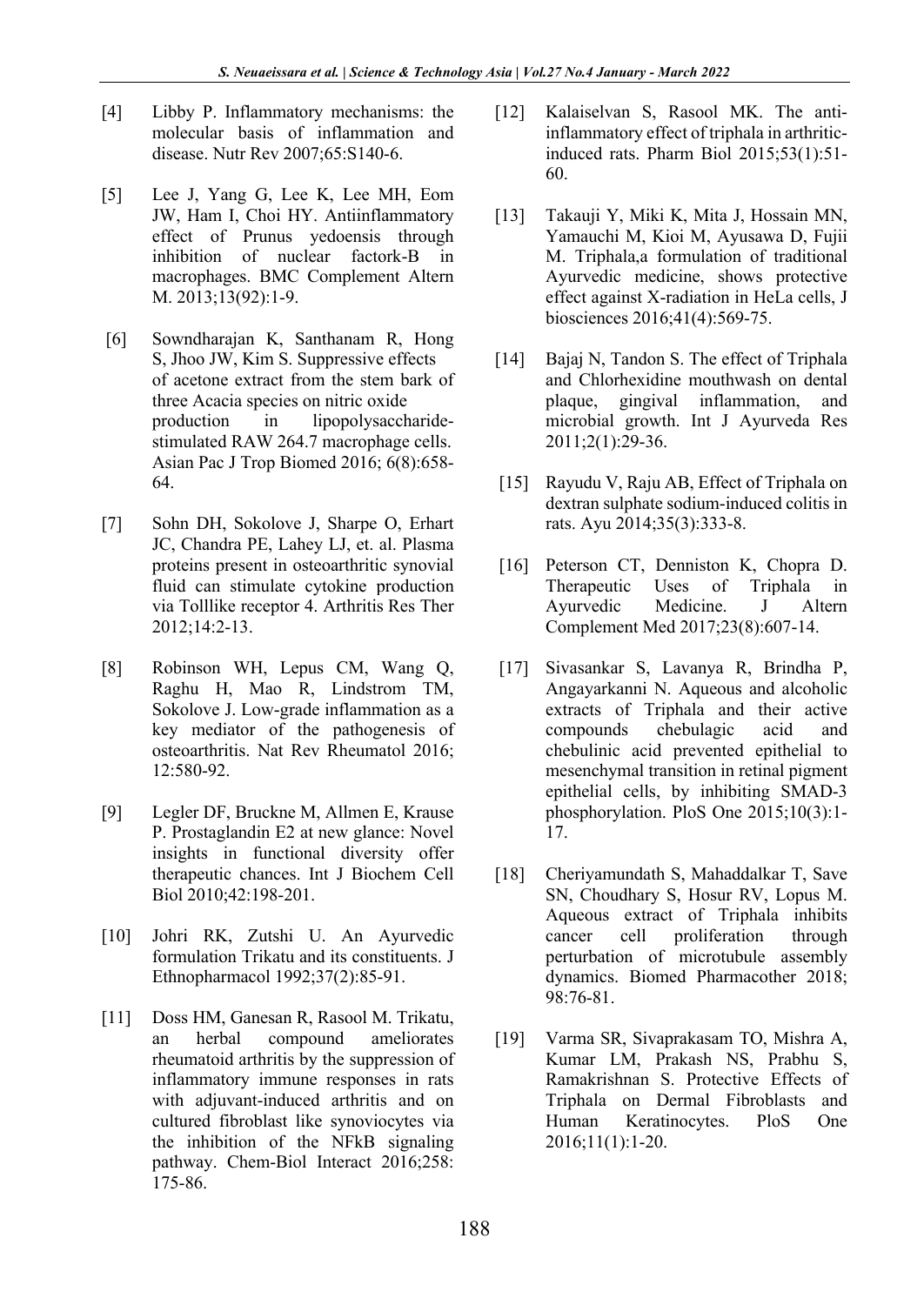- [4] Libby P. Inflammatory mechanisms: the molecular basis of inflammation and disease. Nutr Rev 2007;65:S140-6.
- [5] Lee J, Yang G, Lee K, Lee MH, Eom JW, Ham I, Choi HY. Antiinflammatory effect of Prunus yedoensis through inhibition of nuclear factork-B in macrophages. BMC Complement Altern M. 2013;13(92):1-9.
- [6] Sowndharajan K, Santhanam R, Hong S, Jhoo JW, Kim S. Suppressive effects of acetone extract from the stem bark of three Acacia species on nitric oxide production in lipopolysaccharidestimulated RAW 264.7 macrophage cells. Asian Pac J Trop Biomed 2016; 6(8):658- 64.
- [7] Sohn DH, Sokolove J, Sharpe O, Erhart JC, Chandra PE, Lahey LJ, et. al. Plasma proteins present in osteoarthritic synovial fluid can stimulate cytokine production via Tolllike receptor 4. Arthritis Res Ther 2012;14:2-13.
- [8] Robinson WH, Lepus CM, Wang Q, Raghu H, Mao R, Lindstrom TM, Sokolove J. Low-grade inflammation as a key mediator of the pathogenesis of osteoarthritis. Nat Rev Rheumatol 2016; 12:580-92.
- [9] Legler DF, Bruckne M, Allmen E, Krause P. Prostaglandin E2 at new glance: Novel insights in functional diversity offer therapeutic chances. Int J Biochem Cell Biol 2010;42:198-201.
- [10] Johri RK, Zutshi U. An Ayurvedic formulation Trikatu and its constituents. J Ethnopharmacol 1992;37(2):85-91.
- [11] Doss HM, Ganesan R, Rasool M. Trikatu, an herbal compound ameliorates rheumatoid arthritis by the suppression of inflammatory immune responses in rats with adjuvant-induced arthritis and on cultured fibroblast like synoviocytes via the inhibition of the NFkB signaling pathway. Chem-Biol Interact 2016;258: 175-86.
- [12] Kalaiselvan S, Rasool MK. The antiinflammatory effect of triphala in arthriticinduced rats. Pharm Biol 2015;53(1):51- 60.
- [13] Takauji Y, Miki K, Mita J, Hossain MN, Yamauchi M, Kioi M, Ayusawa D, Fujii M. Triphala,a formulation of traditional Ayurvedic medicine, shows protective effect against X-radiation in HeLa cells, J biosciences 2016;41(4):569-75.
- [14] Bajaj N, Tandon S. The effect of Triphala and Chlorhexidine mouthwash on dental plaque, gingival inflammation, and microbial growth. Int J Ayurveda Res 2011;2(1):29-36.
- [15] Rayudu V, Raju AB, Effect of Triphala on dextran sulphate sodium-induced colitis in rats. Ayu 2014;35(3):333-8.
- [16] Peterson CT, Denniston K, Chopra D. Therapeutic Uses of Triphala in Ayurvedic Medicine. J Altern Complement Med 2017;23(8):607-14.
- [17] Sivasankar S, Lavanya R, Brindha P, Angayarkanni N. Aqueous and alcoholic extracts of Triphala and their active compounds chebulagic acid and chebulinic acid prevented epithelial to mesenchymal transition in retinal pigment epithelial cells, by inhibiting SMAD-3 phosphorylation. PloS One 2015;10(3):1- 17.
- [18] Cheriyamundath S, Mahaddalkar T, Save SN, Choudhary S, Hosur RV, Lopus M. Aqueous extract of Triphala inhibits cancer cell proliferation through perturbation of microtubule assembly dynamics. Biomed Pharmacother 2018; 98:76-81.
- [19] Varma SR, Sivaprakasam TO, Mishra A, Kumar LM, Prakash NS, Prabhu S, Ramakrishnan S. Protective Effects of Triphala on Dermal Fibroblasts and Human Keratinocytes. PloS One 2016;11(1):1-20.